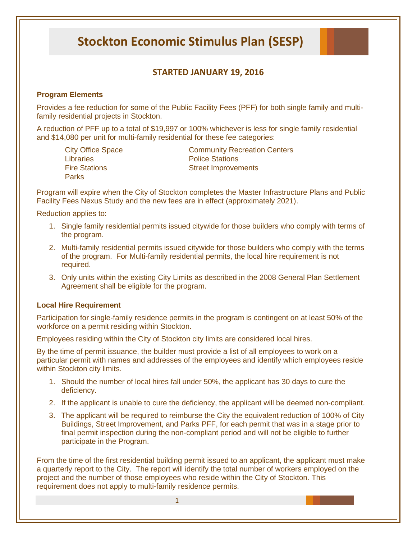# **Stockton Economic Stimulus Plan (SESP)**

# **STARTED JANUARY 19, 2016**

## **Program Elements**

Provides a fee reduction for some of the Public Facility Fees (PFF) for both single family and multifamily residential projects in Stockton.

A reduction of PFF up to a total of \$19,997 or 100% whichever is less for single family residential and \$14,080 per unit for multi-family residential for these fee categories:

Libraries **Contract Contract Contract Police Stations Parks** 

City Office Space Community Recreation Centers Fire Stations **Street Improvements** 

Program will expire when the City of Stockton completes the Master Infrastructure Plans and Public Facility Fees Nexus Study and the new fees are in effect (approximately 2021).

Reduction applies to:

- 1. Single family residential permits issued citywide for those builders who comply with terms of the program.
- 2. Multi-family residential permits issued citywide for those builders who comply with the terms of the program. For Multi-family residential permits, the local hire requirement is not required.
- 3. Only units within the existing City Limits as described in the 2008 General Plan Settlement Agreement shall be eligible for the program.

#### **Local Hire Requirement**

Participation for single-family residence permits in the program is contingent on at least 50% of the workforce on a permit residing within Stockton.

Employees residing within the City of Stockton city limits are considered local hires.

By the time of permit issuance, the builder must provide a list of all employees to work on a particular permit with names and addresses of the employees and identify which employees reside within Stockton city limits.

- 1. Should the number of local hires fall under 50%, the applicant has 30 days to cure the deficiency.
- 2. If the applicant is unable to cure the deficiency, the applicant will be deemed non-compliant.
- 3. The applicant will be required to reimburse the City the equivalent reduction of 100% of City Buildings, Street Improvement, and Parks PFF, for each permit that was in a stage prior to final permit inspection during the non-compliant period and will not be eligible to further participate in the Program.

From the time of the first residential building permit issued to an applicant, the applicant must make a quarterly report to the City. The report will identify the total number of workers employed on the project and the number of those employees who reside within the City of Stockton. This requirement does not apply to multi-family residence permits.